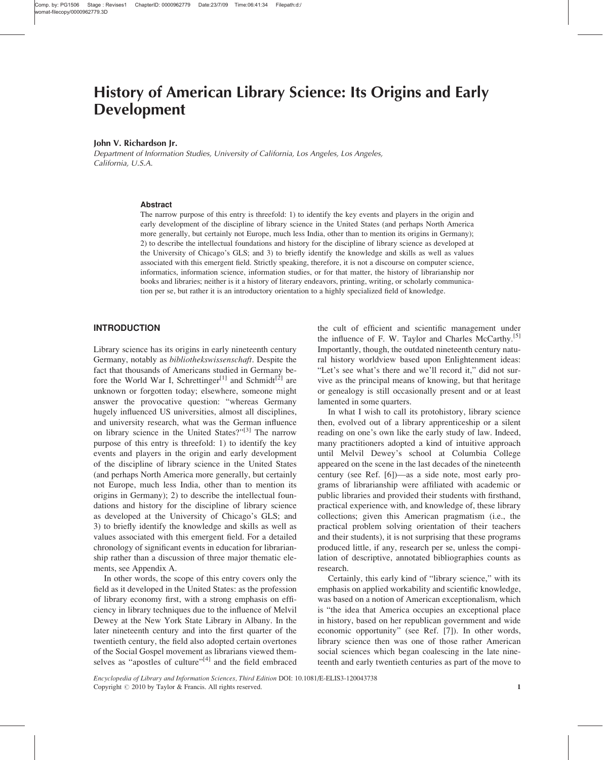#### John V. Richardson Jr.

Department of Information Studies, University of California, Los Angeles, Los Angeles, California, U.S.A.

#### Abstract

The narrow purpose of this entry is threefold: 1) to identify the key events and players in the origin and early development of the discipline of library science in the United States (and perhaps North America more generally, but certainly not Europe, much less India, other than to mention its origins in Germany); 2) to describe the intellectual foundations and history for the discipline of library science as developed at the University of Chicago's GLS; and 3) to briefly identify the knowledge and skills as well as values associated with this emergent field. Strictly speaking, therefore, it is not a discourse on computer science, informatics, information science, information studies, or for that matter, the history of librarianship nor books and libraries; neither is it a history of literary endeavors, printing, writing, or scholarly communication per se, but rather it is an introductory orientation to a highly specialized field of knowledge.

# INTRODUCTION

Library science has its origins in early nineteenth century Germany, notably as bibliothekswissenschaft. Despite the fact that thousands of Americans studied in Germany before the World War I, Schrettinger<sup>[1]</sup> and Schmidt<sup>[2]</sup> are unknown or forgotten today; elsewhere, someone might answer the provocative question: "whereas Germany hugely influenced US universities, almost all disciplines, and university research, what was the German influence on library science in the United States?"[3] The narrow purpose of this entry is threefold: 1) to identify the key events and players in the origin and early development of the discipline of library science in the United States (and perhaps North America more generally, but certainly not Europe, much less India, other than to mention its origins in Germany); 2) to describe the intellectual foundations and history for the discipline of library science as developed at the University of Chicago's GLS; and 3) to briefly identify the knowledge and skills as well as values associated with this emergent field. For a detailed chronology of significant events in education for librarianship rather than a discussion of three major thematic elements, see Appendix A.

In other words, the scope of this entry covers only the field as it developed in the United States: as the profession of library economy first, with a strong emphasis on efficiency in library techniques due to the influence of Melvil Dewey at the New York State Library in Albany. In the later nineteenth century and into the first quarter of the twentieth century, the field also adopted certain overtones of the Social Gospel movement as librarians viewed themselves as "apostles of culture"<sup>[4]</sup> and the field embraced the cult of efficient and scientific management under the influence of F. W. Taylor and Charles McCarthy.<sup>[5]</sup> Importantly, though, the outdated nineteenth century natural history worldview based upon Enlightenment ideas: "Let's see what's there and we'll record it," did not survive as the principal means of knowing, but that heritage or genealogy is still occasionally present and or at least lamented in some quarters.

In what I wish to call its protohistory, library science then, evolved out of a library apprenticeship or a silent reading on one's own like the early study of law. Indeed, many practitioners adopted a kind of intuitive approach until Melvil Dewey's school at Columbia College appeared on the scene in the last decades of the nineteenth century (see Ref. [6])—as a side note, most early programs of librarianship were affiliated with academic or public libraries and provided their students with firsthand, practical experience with, and knowledge of, these library collections; given this American pragmatism (i.e., the practical problem solving orientation of their teachers and their students), it is not surprising that these programs produced little, if any, research per se, unless the compilation of descriptive, annotated bibliographies counts as research.

Certainly, this early kind of "library science," with its emphasis on applied workability and scientific knowledge, was based on a notion of American exceptionalism, which is "the idea that America occupies an exceptional place in history, based on her republican government and wide economic opportunity" (see Ref. [7]). In other words, library science then was one of those rather American social sciences which began coalescing in the late nineteenth and early twentieth centuries as part of the move to

Encyclopedia of Library and Information Sciences, Third Edition DOI: 10.1081/E-ELIS3-120043738 Copyright  $\oslash$  2010 by Taylor & Francis. All rights reserved. 1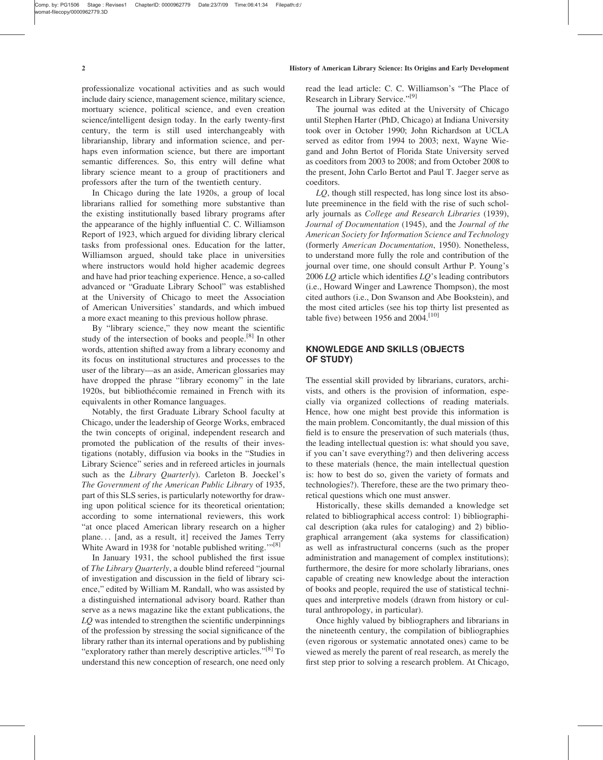professionalize vocational activities and as such would include dairy science, management science, military science, mortuary science, political science, and even creation science/intelligent design today. In the early twenty-first century, the term is still used interchangeably with librarianship, library and information science, and perhaps even information science, but there are important semantic differences. So, this entry will define what library science meant to a group of practitioners and professors after the turn of the twentieth century.

In Chicago during the late 1920s, a group of local librarians rallied for something more substantive than the existing institutionally based library programs after the appearance of the highly influential C. C. Williamson Report of 1923, which argued for dividing library clerical tasks from professional ones. Education for the latter, Williamson argued, should take place in universities where instructors would hold higher academic degrees and have had prior teaching experience. Hence, a so-called advanced or "Graduate Library School" was established at the University of Chicago to meet the Association of American Universities' standards, and which imbued a more exact meaning to this previous hollow phrase.

By "library science," they now meant the scientific study of the intersection of books and people.[8] In other words, attention shifted away from a library economy and its focus on institutional structures and processes to the user of the library—as an aside, American glossaries may have dropped the phrase "library economy" in the late 1920s, but bibliothécomie remained in French with its equivalents in other Romance languages.

Notably, the first Graduate Library School faculty at Chicago, under the leadership of George Works, embraced the twin concepts of original, independent research and promoted the publication of the results of their investigations (notably, diffusion via books in the "Studies in Library Science" series and in refereed articles in journals such as the Library Quarterly). Carleton B. Joeckel's The Government of the American Public Library of 1935, part of this SLS series, is particularly noteworthy for drawing upon political science for its theoretical orientation; according to some international reviewers, this work "at once placed American library research on a higher plane... [and, as a result, it] received the James Terry White Award in 1938 for 'notable published writing."<sup>[8]</sup>

In January 1931, the school published the first issue of The Library Quarterly, a double blind refereed "journal of investigation and discussion in the field of library science," edited by William M. Randall, who was assisted by a distinguished international advisory board. Rather than serve as a news magazine like the extant publications, the LQ was intended to strengthen the scientific underpinnings of the profession by stressing the social significance of the library rather than its internal operations and by publishing "exploratory rather than merely descriptive articles."<sup>[8]</sup> To understand this new conception of research, one need only read the lead article: C. C. Williamson's "The Place of Research in Library Service."<sup>[9]</sup>

The journal was edited at the University of Chicago until Stephen Harter (PhD, Chicago) at Indiana University took over in October 1990; John Richardson at UCLA served as editor from 1994 to 2003; next, Wayne Wiegand and John Bertot of Florida State University served as coeditors from 2003 to 2008; and from October 2008 to the present, John Carlo Bertot and Paul T. Jaeger serve as coeditors.

LQ, though still respected, has long since lost its absolute preeminence in the field with the rise of such scholarly journals as College and Research Libraries (1939), Journal of Documentation (1945), and the Journal of the American Society for Information Science and Technology (formerly American Documentation, 1950). Nonetheless, to understand more fully the role and contribution of the journal over time, one should consult Arthur P. Young's 2006 LQ article which identifies LQ's leading contributors (i.e., Howard Winger and Lawrence Thompson), the most cited authors (i.e., Don Swanson and Abe Bookstein), and the most cited articles (see his top thirty list presented as table five) between 1956 and 2004.<sup>[10]</sup>

# KNOWLEDGE AND SKILLS (OBJECTS OF STUDY)

The essential skill provided by librarians, curators, archivists, and others is the provision of information, especially via organized collections of reading materials. Hence, how one might best provide this information is the main problem. Concomitantly, the dual mission of this field is to ensure the preservation of such materials (thus, the leading intellectual question is: what should you save, if you can't save everything?) and then delivering access to these materials (hence, the main intellectual question is: how to best do so, given the variety of formats and technologies?). Therefore, these are the two primary theoretical questions which one must answer.

Historically, these skills demanded a knowledge set related to bibliographical access control: 1) bibliographical description (aka rules for cataloging) and 2) bibliographical arrangement (aka systems for classification) as well as infrastructural concerns (such as the proper administration and management of complex institutions); furthermore, the desire for more scholarly librarians, ones capable of creating new knowledge about the interaction of books and people, required the use of statistical techniques and interpretive models (drawn from history or cultural anthropology, in particular).

Once highly valued by bibliographers and librarians in the nineteenth century, the compilation of bibliographies (even rigorous or systematic annotated ones) came to be viewed as merely the parent of real research, as merely the first step prior to solving a research problem. At Chicago,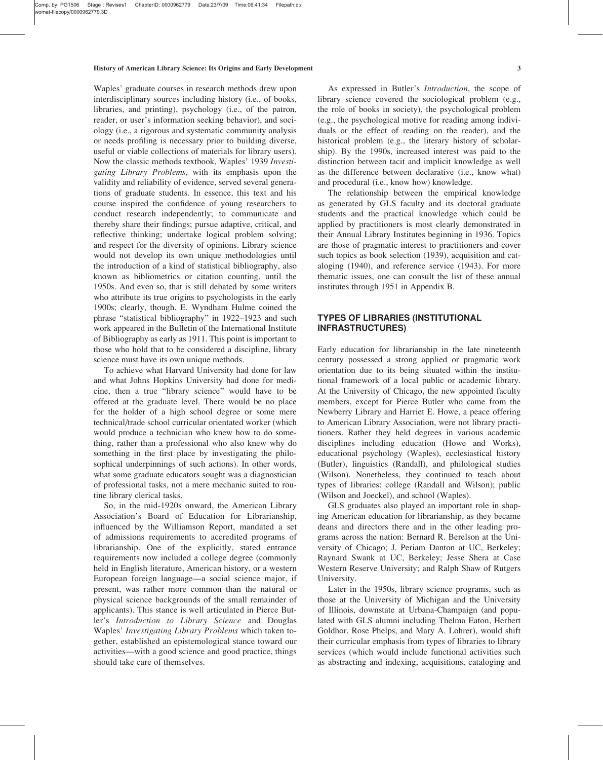Waples' graduate courses in research methods drew upon interdisciplinary sources including history (i.e., of books, libraries, and printing), psychology (i.e., of the patron, reader, or user's information seeking behavior), and sociology (i.e., a rigorous and systematic community analysis or needs profiling is necessary prior to building diverse, useful or viable collections of materials for library users). Now the classic methods textbook, Waples' 1939 Investigating Library Problems, with its emphasis upon the validity and reliability of evidence, served several generations of graduate students. In essence, this text and his course inspired the confidence of young researchers to conduct research independently; to communicate and thereby share their findings; pursue adaptive, critical, and reflective thinking; undertake logical problem solving; and respect for the diversity of opinions. Library science would not develop its own unique methodologies until the introduction of a kind of statistical bibliography, also known as bibliometrics or citation counting, until the 1950s. And even so, that is still debated by some writers who attribute its true origins to psychologists in the early 1900s; clearly, though. E. Wyndham Hulme coined the phrase "statistical bibliography" in 1922–1923 and such work appeared in the Bulletin of the International Institute of Bibliography as early as 1911. This point is important to those who hold that to be considered a discipline, library science must have its own unique methods.

To achieve what Harvard University had done for law and what Johns Hopkins University had done for medicine, then a true "library science" would have to be offered at the graduate level. There would be no place for the holder of a high school degree or some mere technical/trade school curricular orientated worker (which would produce a technician who knew how to do something, rather than a professional who also knew why do something in the first place by investigating the philosophical underpinnings of such actions). In other words, what some graduate educators sought was a diagnostician of professional tasks, not a mere mechanic suited to routine library clerical tasks.

So, in the mid-1920s onward, the American Library Association's Board of Education for Librarianship, influenced by the Williamson Report, mandated a set of admissions requirements to accredited programs of librarianship. One of the explicitly, stated entrance requirements now included a college degree (commonly held in English literature, American history, or a western European foreign language—a social science major, if present, was rather more common than the natural or physical science backgrounds of the small remainder of applicants). This stance is well articulated in Pierce Butler's Introduction to Library Science and Douglas Waples' Investigating Library Problems which taken together, established an epistemological stance toward our activities—with a good science and good practice, things should take care of themselves.

As expressed in Butler's Introduction, the scope of library science covered the sociological problem (e.g., the role of books in society), the psychological problem (e.g., the psychological motive for reading among individuals or the effect of reading on the reader), and the historical problem (e.g., the literary history of scholarship). By the 1990s, increased interest was paid to the distinction between tacit and implicit knowledge as well as the difference between declarative (i.e., know what) and procedural (i.e., know how) knowledge.

The relationship between the empirical knowledge as generated by GLS faculty and its doctoral graduate students and the practical knowledge which could be applied by practitioners is most clearly demonstrated in their Annual Library Institutes beginning in 1936. Topics are those of pragmatic interest to practitioners and cover such topics as book selection (1939), acquisition and cataloging (1940), and reference service (1943). For more thematic issues, one can consult the list of these annual institutes through 1951 in Appendix B.

# TYPES OF LIBRARIES (INSTITUTIONAL INFRASTRUCTURES)

Early education for librarianship in the late nineteenth century possessed a strong applied or pragmatic work orientation due to its being situated within the institutional framework of a local public or academic library. At the University of Chicago, the new appointed faculty members, except for Pierce Butler who came from the Newberry Library and Harriet E. Howe, a peace offering to American Library Association, were not library practitioners. Rather they held degrees in various academic disciplines including education (Howe and Works), educational psychology (Waples), ecclesiastical history (Butler), linguistics (Randall), and philological studies (Wilson). Nonetheless, they continued to teach about types of libraries: college (Randall and Wilson); public (Wilson and Joeckel), and school (Waples).

GLS graduates also played an important role in shaping American education for librarianship, as they became deans and directors there and in the other leading programs across the nation: Bernard R. Berelson at the University of Chicago; J. Periam Danton at UC, Berkeley; Raynard Swank at UC, Berkeley; Jesse Shera at Case Western Reserve University; and Ralph Shaw of Rutgers University.

Later in the 1950s, library science programs, such as those at the University of Michigan and the University of Illinois, downstate at Urbana-Champaign (and populated with GLS alumni including Thelma Eaton, Herbert Goldhor, Rose Phelps, and Mary A. Lohrer), would shift their curricular emphasis from types of libraries to library services (which would include functional activities such as abstracting and indexing, acquisitions, cataloging and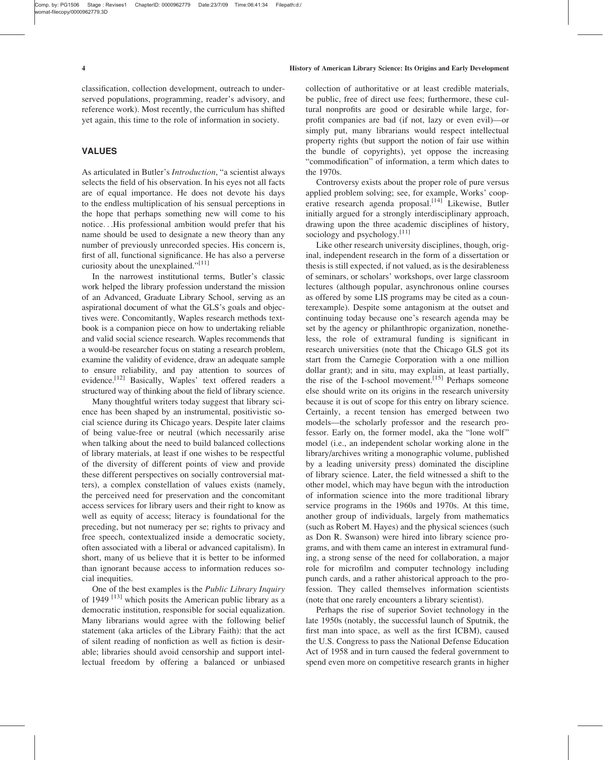classification, collection development, outreach to underserved populations, programming, reader's advisory, and reference work). Most recently, the curriculum has shifted yet again, this time to the role of information in society.

# VALUES

As articulated in Butler's Introduction, "a scientist always selects the field of his observation. In his eyes not all facts are of equal importance. He does not devote his days to the endless multiplication of his sensual perceptions in the hope that perhaps something new will come to his notice...His professional ambition would prefer that his name should be used to designate a new theory than any number of previously unrecorded species. His concern is, first of all, functional significance. He has also a perverse curiosity about the unexplained."<sup>[11]</sup>

In the narrowest institutional terms, Butler's classic work helped the library profession understand the mission of an Advanced, Graduate Library School, serving as an aspirational document of what the GLS's goals and objectives were. Concomitantly, Waples research methods textbook is a companion piece on how to undertaking reliable and valid social science research. Waples recommends that a would-be researcher focus on stating a research problem, examine the validity of evidence, draw an adequate sample to ensure reliability, and pay attention to sources of evidence.<sup>[12]</sup> Basically, Waples' text offered readers a structured way of thinking about the field of library science.

Many thoughtful writers today suggest that library science has been shaped by an instrumental, positivistic social science during its Chicago years. Despite later claims of being value-free or neutral (which necessarily arise when talking about the need to build balanced collections of library materials, at least if one wishes to be respectful of the diversity of different points of view and provide these different perspectives on socially controversial matters), a complex constellation of values exists (namely, the perceived need for preservation and the concomitant access services for library users and their right to know as well as equity of access; literacy is foundational for the preceding, but not numeracy per se; rights to privacy and free speech, contextualized inside a democratic society, often associated with a liberal or advanced capitalism). In short, many of us believe that it is better to be informed than ignorant because access to information reduces social inequities.

One of the best examples is the *Public Library Inquiry* of 1949  $^{[13]}$  which posits the American public library as a democratic institution, responsible for social equalization. Many librarians would agree with the following belief statement (aka articles of the Library Faith): that the act of silent reading of nonfiction as well as fiction is desirable; libraries should avoid censorship and support intellectual freedom by offering a balanced or unbiased collection of authoritative or at least credible materials, be public, free of direct use fees; furthermore, these cultural nonprofits are good or desirable while large, forprofit companies are bad (if not, lazy or even evil)—or simply put, many librarians would respect intellectual property rights (but support the notion of fair use within the bundle of copyrights), yet oppose the increasing "commodification" of information, a term which dates to the 1970s.

Controversy exists about the proper role of pure versus applied problem solving; see, for example, Works' cooperative research agenda proposal.<sup>[14]</sup> Likewise, Butler initially argued for a strongly interdisciplinary approach, drawing upon the three academic disciplines of history, sociology and psychology.<sup>[11]</sup>

Like other research university disciplines, though, original, independent research in the form of a dissertation or thesis is still expected, if not valued, as is the desirableness of seminars, or scholars' workshops, over large classroom lectures (although popular, asynchronous online courses as offered by some LIS programs may be cited as a counterexample). Despite some antagonism at the outset and continuing today because one's research agenda may be set by the agency or philanthropic organization, nonetheless, the role of extramural funding is significant in research universities (note that the Chicago GLS got its start from the Carnegie Corporation with a one million dollar grant); and in situ, may explain, at least partially, the rise of the I-school movement.<sup>[15]</sup> Perhaps someone else should write on its origins in the research university because it is out of scope for this entry on library science. Certainly, a recent tension has emerged between two models—the scholarly professor and the research professor. Early on, the former model, aka the "lone wolf" model (i.e., an independent scholar working alone in the library/archives writing a monographic volume, published by a leading university press) dominated the discipline of library science. Later, the field witnessed a shift to the other model, which may have begun with the introduction of information science into the more traditional library service programs in the 1960s and 1970s. At this time, another group of individuals, largely from mathematics (such as Robert M. Hayes) and the physical sciences (such as Don R. Swanson) were hired into library science programs, and with them came an interest in extramural funding, a strong sense of the need for collaboration, a major role for microfilm and computer technology including punch cards, and a rather ahistorical approach to the profession. They called themselves information scientists (note that one rarely encounters a library scientist).

Perhaps the rise of superior Soviet technology in the late 1950s (notably, the successful launch of Sputnik, the first man into space, as well as the first ICBM), caused the U.S. Congress to pass the National Defense Education Act of 1958 and in turn caused the federal government to spend even more on competitive research grants in higher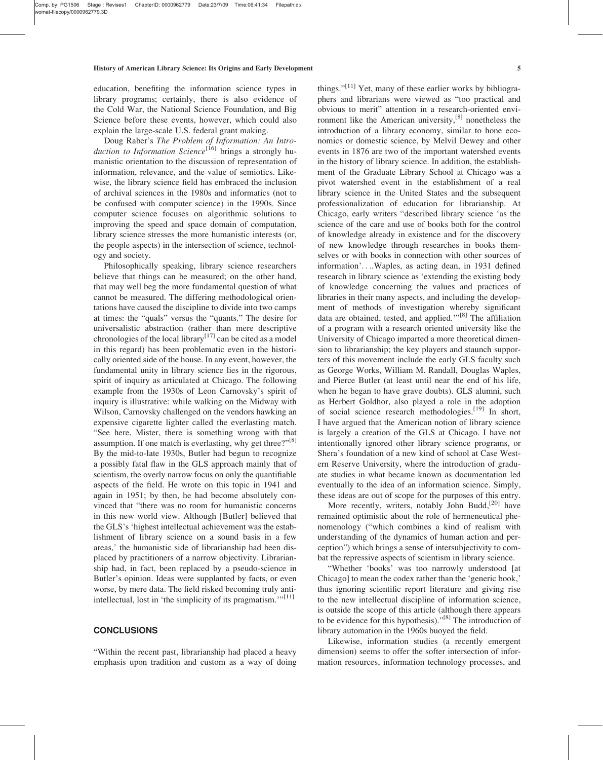education, benefiting the information science types in library programs; certainly, there is also evidence of the Cold War, the National Science Foundation, and Big Science before these events, however, which could also explain the large-scale U.S. federal grant making.

Doug Raber's The Problem of Information: An Introduction to Information Science<sup>[16]</sup> brings a strongly humanistic orientation to the discussion of representation of information, relevance, and the value of semiotics. Likewise, the library science field has embraced the inclusion of archival sciences in the 1980s and informatics (not to be confused with computer science) in the 1990s. Since computer science focuses on algorithmic solutions to improving the speed and space domain of computation, library science stresses the more humanistic interests (or, the people aspects) in the intersection of science, technology and society.

Philosophically speaking, library science researchers believe that things can be measured; on the other hand, that may well beg the more fundamental question of what cannot be measured. The differing methodological orientations have caused the discipline to divide into two camps at times: the "quals" versus the "quants." The desire for universalistic abstraction (rather than mere descriptive chronologies of the local library<sup>[17]</sup> can be cited as a model in this regard) has been problematic even in the historically oriented side of the house. In any event, however, the fundamental unity in library science lies in the rigorous, spirit of inquiry as articulated at Chicago. The following example from the 1930s of Leon Carnovsky's spirit of inquiry is illustrative: while walking on the Midway with Wilson, Carnovsky challenged on the vendors hawking an expensive cigarette lighter called the everlasting match. "See here, Mister, there is something wrong with that assumption. If one match is everlasting, why get three?" $[8]$ By the mid-to-late 1930s, Butler had begun to recognize a possibly fatal flaw in the GLS approach mainly that of scientism, the overly narrow focus on only the quantifiable aspects of the field. He wrote on this topic in 1941 and again in 1951; by then, he had become absolutely convinced that "there was no room for humanistic concerns in this new world view. Although [Butler] believed that the GLS's 'highest intellectual achievement was the establishment of library science on a sound basis in a few areas,' the humanistic side of librarianship had been displaced by practitioners of a narrow objectivity. Librarianship had, in fact, been replaced by a pseudo-science in Butler's opinion. Ideas were supplanted by facts, or even worse, by mere data. The field risked becoming truly antiintellectual, lost in 'the simplicity of its pragmatism.'"<sup>[11]</sup>

# **CONCLUSIONS**

"Within the recent past, librarianship had placed a heavy emphasis upon tradition and custom as a way of doing things." $[11]$  Yet, many of these earlier works by bibliographers and librarians were viewed as "too practical and obvious to merit" attention in a research-oriented environment like the American university, $^{[8]}$  nonetheless the introduction of a library economy, similar to hone economics or domestic science, by Melvil Dewey and other events in 1876 are two of the important watershed events in the history of library science. In addition, the establishment of the Graduate Library School at Chicago was a pivot watershed event in the establishment of a real library science in the United States and the subsequent professionalization of education for librarianship. At Chicago, early writers "described library science 'as the science of the care and use of books both for the control of knowledge already in existence and for the discovery of new knowledge through researches in books themselves or with books in connection with other sources of information'....Waples, as acting dean, in 1931 defined research in library science as 'extending the existing body of knowledge concerning the values and practices of libraries in their many aspects, and including the development of methods of investigation whereby significant data are obtained, tested, and applied.'"[8] The affiliation of a program with a research oriented university like the University of Chicago imparted a more theoretical dimension to librarianship; the key players and staunch supporters of this movement include the early GLS faculty such as George Works, William M. Randall, Douglas Waples, and Pierce Butler (at least until near the end of his life, when he began to have grave doubts). GLS alumni, such as Herbert Goldhor, also played a role in the adoption of social science research methodologies.<sup>[19]</sup> In short, I have argued that the American notion of library science is largely a creation of the GLS at Chicago. I have not intentionally ignored other library science programs, or Shera's foundation of a new kind of school at Case Western Reserve University, where the introduction of graduate studies in what became known as documentation led eventually to the idea of an information science. Simply, these ideas are out of scope for the purposes of this entry.

More recently, writers, notably John Budd,<sup>[20]</sup> have remained optimistic about the role of hermeneutical phenomenology ("which combines a kind of realism with understanding of the dynamics of human action and perception") which brings a sense of intersubjectivity to combat the repressive aspects of scientism in library science.

"Whether 'books' was too narrowly understood [at Chicago] to mean the codex rather than the 'generic book,' thus ignoring scientific report literature and giving rise to the new intellectual discipline of information science, is outside the scope of this article (although there appears to be evidence for this hypothesis)."[8] The introduction of library automation in the 1960s buoyed the field.

Likewise, information studies (a recently emergent dimension) seems to offer the softer intersection of information resources, information technology processes, and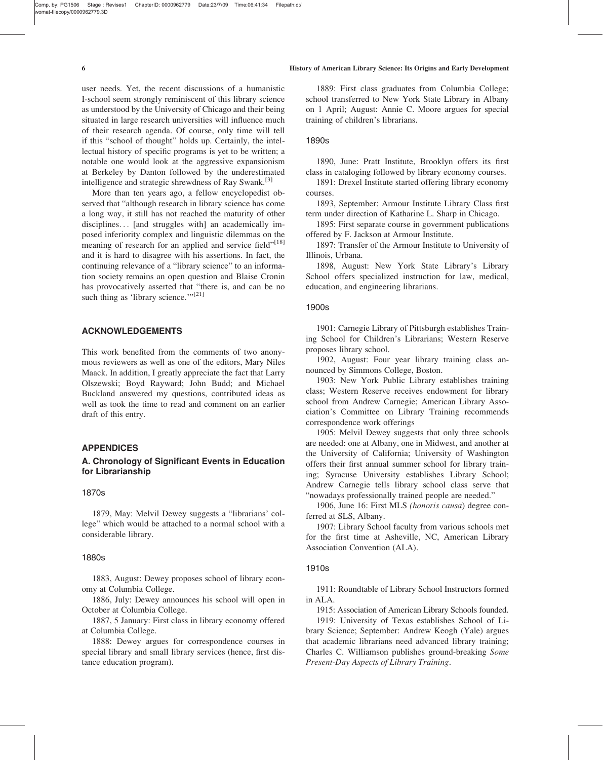user needs. Yet, the recent discussions of a humanistic I-school seem strongly reminiscent of this library science as understood by the University of Chicago and their being situated in large research universities will influence much of their research agenda. Of course, only time will tell if this "school of thought" holds up. Certainly, the intellectual history of specific programs is yet to be written; a notable one would look at the aggressive expansionism at Berkeley by Danton followed by the underestimated intelligence and strategic shrewdness of Ray Swank.<sup>[3]</sup>

More than ten years ago, a fellow encyclopedist observed that "although research in library science has come a long way, it still has not reached the maturity of other disciplines... [and struggles with] an academically imposed inferiority complex and linguistic dilemmas on the meaning of research for an applied and service field"<sup>[18]</sup> and it is hard to disagree with his assertions. In fact, the continuing relevance of a "library science" to an information society remains an open question and Blaise Cronin has provocatively asserted that "there is, and can be no such thing as 'library science.'"<sup>[21]</sup>

# ACKNOWLEDGEMENTS

This work benefited from the comments of two anonymous reviewers as well as one of the editors, Mary Niles Maack. In addition, I greatly appreciate the fact that Larry Olszewski; Boyd Rayward; John Budd; and Michael Buckland answered my questions, contributed ideas as well as took the time to read and comment on an earlier draft of this entry.

# APPENDICES

# A. Chronology of Significant Events in Education for Librarianship

# 1870s

1879, May: Melvil Dewey suggests a "librarians' college" which would be attached to a normal school with a considerable library.

#### 1880s

1883, August: Dewey proposes school of library economy at Columbia College.

1886, July: Dewey announces his school will open in October at Columbia College.

1887, 5 January: First class in library economy offered at Columbia College.

1888: Dewey argues for correspondence courses in special library and small library services (hence, first distance education program).

1889: First class graduates from Columbia College; school transferred to New York State Library in Albany on 1 April; August: Annie C. Moore argues for special training of children's librarians.

#### 1890s

1890, June: Pratt Institute, Brooklyn offers its first class in cataloging followed by library economy courses.

1891: Drexel Institute started offering library economy courses.

1893, September: Armour Institute Library Class first term under direction of Katharine L. Sharp in Chicago.

1895: First separate course in government publications offered by F. Jackson at Armour Institute.

1897: Transfer of the Armour Institute to University of Illinois, Urbana.

1898, August: New York State Library's Library School offers specialized instruction for law, medical, education, and engineering librarians.

## 1900s

1901: Carnegie Library of Pittsburgh establishes Training School for Children's Librarians; Western Reserve proposes library school.

1902, August: Four year library training class announced by Simmons College, Boston.

1903: New York Public Library establishes training class; Western Reserve receives endowment for library school from Andrew Carnegie; American Library Association's Committee on Library Training recommends correspondence work offerings

1905: Melvil Dewey suggests that only three schools are needed: one at Albany, one in Midwest, and another at the University of California; University of Washington offers their first annual summer school for library training; Syracuse University establishes Library School; Andrew Carnegie tells library school class serve that "nowadays professionally trained people are needed."

1906, June 16: First MLS (honoris causa) degree conferred at SLS, Albany.

1907: Library School faculty from various schools met for the first time at Asheville, NC, American Library Association Convention (ALA).

### 1910s

1911: Roundtable of Library School Instructors formed in ALA.

1915: Association of American Library Schools founded.

1919: University of Texas establishes School of Library Science; September: Andrew Keogh (Yale) argues that academic librarians need advanced library training; Charles C. Williamson publishes ground-breaking Some Present-Day Aspects of Library Training.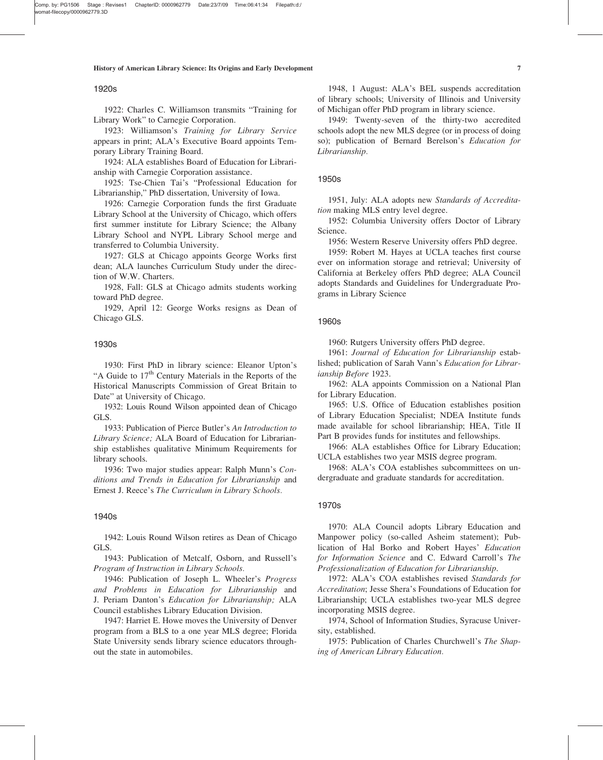# 1920s

1922: Charles C. Williamson transmits "Training for Library Work" to Carnegie Corporation.

1923: Williamson's Training for Library Service appears in print; ALA's Executive Board appoints Temporary Library Training Board.

1924: ALA establishes Board of Education for Librarianship with Carnegie Corporation assistance.

1925: Tse-Chien Tai's "Professional Education for Librarianship," PhD dissertation, University of Iowa.

1926: Carnegie Corporation funds the first Graduate Library School at the University of Chicago, which offers first summer institute for Library Science; the Albany Library School and NYPL Library School merge and transferred to Columbia University.

1927: GLS at Chicago appoints George Works first dean; ALA launches Curriculum Study under the direction of W.W. Charters.

1928, Fall: GLS at Chicago admits students working toward PhD degree.

1929, April 12: George Works resigns as Dean of Chicago GLS.

### 1930s

1930: First PhD in library science: Eleanor Upton's "A Guide to 17<sup>th</sup> Century Materials in the Reports of the Historical Manuscripts Commission of Great Britain to Date" at University of Chicago.

1932: Louis Round Wilson appointed dean of Chicago GLS.

1933: Publication of Pierce Butler's An Introduction to Library Science; ALA Board of Education for Librarianship establishes qualitative Minimum Requirements for library schools.

1936: Two major studies appear: Ralph Munn's Conditions and Trends in Education for Librarianship and Ernest J. Reece's The Curriculum in Library Schools.

#### 1940s

1942: Louis Round Wilson retires as Dean of Chicago GLS.

1943: Publication of Metcalf, Osborn, and Russell's Program of Instruction in Library Schools.

1946: Publication of Joseph L. Wheeler's Progress and Problems in Education for Librarianship and J. Periam Danton's Education for Librarianship; ALA Council establishes Library Education Division.

1947: Harriet E. Howe moves the University of Denver program from a BLS to a one year MLS degree; Florida State University sends library science educators throughout the state in automobiles.

1948, 1 August: ALA's BEL suspends accreditation of library schools; University of Illinois and University of Michigan offer PhD program in library science.

1949: Twenty-seven of the thirty-two accredited schools adopt the new MLS degree (or in process of doing so); publication of Bernard Berelson's Education for Librarianship.

#### 1950s

1951, July: ALA adopts new Standards of Accreditation making MLS entry level degree.

1952: Columbia University offers Doctor of Library Science.

1956: Western Reserve University offers PhD degree.

1959: Robert M. Hayes at UCLA teaches first course ever on information storage and retrieval; University of California at Berkeley offers PhD degree; ALA Council adopts Standards and Guidelines for Undergraduate Programs in Library Science

#### 1960s

1960: Rutgers University offers PhD degree.

1961: Journal of Education for Librarianship established; publication of Sarah Vann's Education for Librarianship Before 1923.

1962: ALA appoints Commission on a National Plan for Library Education.

1965: U.S. Office of Education establishes position of Library Education Specialist; NDEA Institute funds made available for school librarianship; HEA, Title II Part B provides funds for institutes and fellowships.

1966: ALA establishes Office for Library Education; UCLA establishes two year MSIS degree program.

1968: ALA's COA establishes subcommittees on undergraduate and graduate standards for accreditation.

#### 1970s

1970: ALA Council adopts Library Education and Manpower policy (so-called Asheim statement); Publication of Hal Borko and Robert Hayes' Education for Information Science and C. Edward Carroll's The Professionalization of Education for Librarianship.

1972: ALA's COA establishes revised Standards for Accreditation; Jesse Shera's Foundations of Education for Librarianship; UCLA establishes two-year MLS degree incorporating MSIS degree.

1974, School of Information Studies, Syracuse University, established.

1975: Publication of Charles Churchwell's The Shaping of American Library Education.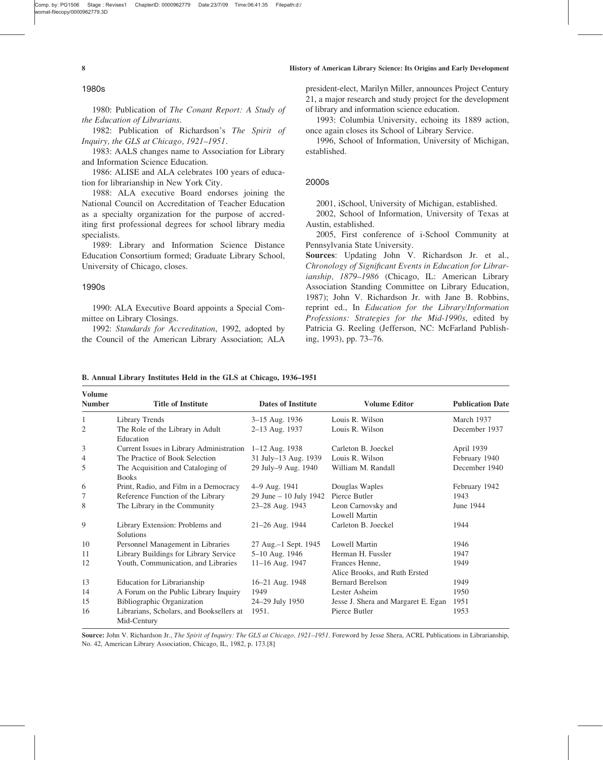Comp. by: PG1506 Stage : Revises1 ChapterID: 0000962779 Date:23/7/09 Time:06:41:35 Filepath:d:/ mat-filecopy/0000962779.3D

1980s

1980: Publication of The Conant Report: A Study of the Education of Librarians.

1982: Publication of Richardson's The Spirit of Inquiry, the GLS at Chicago, 1921–1951.

1983: AALS changes name to Association for Library and Information Science Education.

1986: ALISE and ALA celebrates 100 years of education for librarianship in New York City.

1988: ALA executive Board endorses joining the National Council on Accreditation of Teacher Education as a specialty organization for the purpose of accrediting first professional degrees for school library media specialists.

1989: Library and Information Science Distance Education Consortium formed; Graduate Library School, University of Chicago, closes.

# 1990s

1990: ALA Executive Board appoints a Special Committee on Library Closings.

1992: Standards for Accreditation, 1992, adopted by the Council of the American Library Association; ALA president-elect, Marilyn Miller, announces Project Century 21, a major research and study project for the development of library and information science education.

1993: Columbia University, echoing its 1889 action, once again closes its School of Library Service.

1996, School of Information, University of Michigan, established.

#### 2000s

2001, iSchool, University of Michigan, established.

2002, School of Information, University of Texas at Austin, established.

2005, First conference of i-School Community at Pennsylvania State University.

Sources: Updating John V. Richardson Jr. et al., Chronology of Significant Events in Education for Librarianship, 1879–1986 (Chicago, IL: American Library Association Standing Committee on Library Education, 1987); John V. Richardson Jr. with Jane B. Robbins, reprint ed., In Education for the Library/Information Professions: Strategies for the Mid-1990s, edited by Patricia G. Reeling (Jefferson, NC: McFarland Publishing, 1993), pp. 73–76.

| <b>Volume</b><br><b>Number</b> | <b>Title of Institute</b>                               | <b>Dates of Institute</b> | <b>Volume Editor</b>                            | <b>Publication Date</b> |
|--------------------------------|---------------------------------------------------------|---------------------------|-------------------------------------------------|-------------------------|
| 1                              | Library Trends                                          | 3–15 Aug. 1936            | Louis R. Wilson                                 | March 1937              |
| $\overline{2}$                 | The Role of the Library in Adult<br>Education           | 2-13 Aug. 1937            | Louis R. Wilson                                 | December 1937           |
| 3                              | Current Issues in Library Administration                | $1-12$ Aug. 1938          | Carleton B. Joeckel                             | April 1939              |
| 4                              | The Practice of Book Selection                          | 31 July-13 Aug. 1939      | Louis R. Wilson                                 | February 1940           |
| 5                              | The Acquisition and Cataloging of<br><b>Books</b>       | 29 July-9 Aug. 1940       | William M. Randall                              | December 1940           |
| 6                              | Print, Radio, and Film in a Democracy                   | 4–9 Aug. 1941             | Douglas Waples                                  | February 1942           |
| 7                              | Reference Function of the Library                       | 29 June $-10$ July 1942   | Pierce Butler                                   | 1943                    |
| 8                              | The Library in the Community                            | 23-28 Aug. 1943           | Leon Carnovsky and<br><b>Lowell Martin</b>      | June 1944               |
| 9                              | Library Extension: Problems and<br><b>Solutions</b>     | $21-26$ Aug. 1944         | Carleton B. Joeckel                             | 1944                    |
| 10                             | Personnel Management in Libraries                       | 27 Aug.-1 Sept. 1945      | Lowell Martin                                   | 1946                    |
| 11                             | Library Buildings for Library Service                   | 5-10 Aug. 1946            | Herman H. Fussler                               | 1947                    |
| 12                             | Youth, Communication, and Libraries                     | 11-16 Aug. 1947           | Frances Henne,<br>Alice Brooks, and Ruth Ersted | 1949                    |
| 13                             | Education for Librarianship                             | 16–21 Aug. 1948           | <b>Bernard Berelson</b>                         | 1949                    |
| 14                             | A Forum on the Public Library Inquiry                   | 1949                      | Lester Asheim                                   | 1950                    |
| 15                             | Bibliographic Organization                              | 24–29 July 1950           | Jesse J. Shera and Margaret E. Egan             | 1951                    |
| 16                             | Librarians, Scholars, and Booksellers at<br>Mid-Century | 1951.                     | Pierce Butler                                   | 1953                    |

B. Annual Library Institutes Held in the GLS at Chicago, 1936–1951

Source: John V. Richardson Jr., The Spirit of Inquiry: The GLS at Chicago, 1921-1951. Foreword by Jesse Shera, ACRL Publications in Librarianship, No. 42, American Library Association, Chicago, IL, 1982, p. 173.[8]